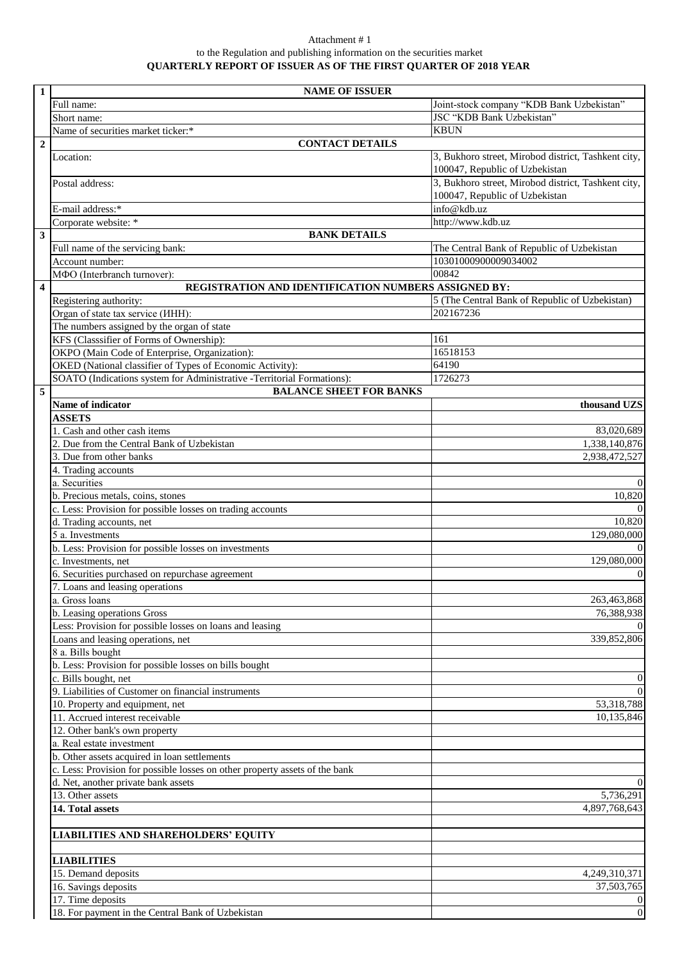## Attachment # 1 to the Regulation and publishing information on the securities market **QUARTERLY REPORT OF ISSUER AS OF THE FIRST QUARTER OF 2018 YEAR**

| $\mathbf{1}$            | <b>NAME OF ISSUER</b>                                                        |                                                                    |  |
|-------------------------|------------------------------------------------------------------------------|--------------------------------------------------------------------|--|
|                         | Full name:                                                                   | Joint-stock company "KDB Bank Uzbekistan"                          |  |
|                         | Short name:                                                                  | JSC "KDB Bank Uzbekistan"                                          |  |
|                         | Name of securities market ticker:*                                           | <b>KBUN</b>                                                        |  |
| $\overline{2}$          | <b>CONTACT DETAILS</b>                                                       |                                                                    |  |
|                         | Location:                                                                    | 3, Bukhoro street, Mirobod district, Tashkent city,                |  |
|                         |                                                                              | 100047, Republic of Uzbekistan                                     |  |
|                         | Postal address:                                                              | 3, Bukhoro street, Mirobod district, Tashkent city,                |  |
|                         |                                                                              | 100047, Republic of Uzbekistan                                     |  |
|                         | E-mail address:*                                                             | info@kdb.uz                                                        |  |
|                         | Corporate website: *                                                         | http://www.kdb.uz                                                  |  |
| $\overline{\mathbf{3}}$ | <b>BANK DETAILS</b>                                                          |                                                                    |  |
|                         | Full name of the servicing bank:                                             | The Central Bank of Republic of Uzbekistan<br>10301000900009034002 |  |
|                         | Account number:<br>МФО (Interbranch turnover):                               | 00842                                                              |  |
| $\overline{4}$          | REGISTRATION AND IDENTIFICATION NUMBERS ASSIGNED BY:                         |                                                                    |  |
|                         | Registering authority:                                                       | 5 (The Central Bank of Republic of Uzbekistan)                     |  |
|                         | Organ of state tax service ( <i>HHH</i> ):                                   | 202167236                                                          |  |
|                         | The numbers assigned by the organ of state                                   |                                                                    |  |
|                         | KFS (Classsifier of Forms of Ownership):                                     | 161                                                                |  |
|                         | OKPO (Main Code of Enterprise, Organization):                                | 16518153                                                           |  |
|                         | OKED (National classifier of Types of Economic Activity):                    | 64190                                                              |  |
|                         | SOATO (Indications system for Administrative -Territorial Formations):       | 1726273                                                            |  |
| 5                       | <b>BALANCE SHEET FOR BANKS</b>                                               |                                                                    |  |
|                         | Name of indicator                                                            | thousand UZS                                                       |  |
|                         | <b>ASSETS</b>                                                                |                                                                    |  |
|                         | 1. Cash and other cash items                                                 | 83,020,689                                                         |  |
|                         | 2. Due from the Central Bank of Uzbekistan                                   | 1,338,140,876                                                      |  |
|                         | 3. Due from other banks                                                      | 2,938,472,527                                                      |  |
|                         | 4. Trading accounts                                                          |                                                                    |  |
|                         | a. Securities                                                                | $\Omega$                                                           |  |
|                         | b. Precious metals, coins, stones                                            | 10,820                                                             |  |
|                         | c. Less: Provision for possible losses on trading accounts                   | $\Omega$                                                           |  |
|                         | d. Trading accounts, net                                                     | 10,820                                                             |  |
|                         | 5 a. Investments                                                             | 129,080,000<br>$\Omega$                                            |  |
|                         | b. Less: Provision for possible losses on investments<br>c. Investments, net | 129,080,000                                                        |  |
|                         | 6. Securities purchased on repurchase agreement                              | $\mathbf{0}$                                                       |  |
|                         | 7. Loans and leasing operations                                              |                                                                    |  |
|                         | a. Gross loans                                                               | 263,463,868                                                        |  |
|                         | b. Leasing operations Gross                                                  | 76,388,938                                                         |  |
|                         | Less: Provision for possible losses on loans and leasing                     | $\Omega$                                                           |  |
|                         | Loans and leasing operations, net                                            | 339,852,806                                                        |  |
|                         | 8 a. Bills bought                                                            |                                                                    |  |
|                         | b. Less: Provision for possible losses on bills bought                       |                                                                    |  |
|                         | c. Bills bought, net                                                         | $\overline{0}$                                                     |  |
|                         | 9. Liabilities of Customer on financial instruments                          | $\overline{0}$                                                     |  |
|                         | 10. Property and equipment, net                                              | 53,318,788                                                         |  |
|                         | 11. Accrued interest receivable                                              | 10,135,846                                                         |  |
|                         | 12. Other bank's own property                                                |                                                                    |  |
|                         | a. Real estate investment                                                    |                                                                    |  |
|                         | b. Other assets acquired in loan settlements                                 |                                                                    |  |
|                         | c. Less: Provision for possible losses on other property assets of the bank  |                                                                    |  |
|                         | d. Net, another private bank assets<br>13. Other assets                      | $\overline{0}$<br>5,736,291                                        |  |
|                         | 14. Total assets                                                             | 4,897,768,643                                                      |  |
|                         |                                                                              |                                                                    |  |
|                         | <b>LIABILITIES AND SHAREHOLDERS' EQUITY</b>                                  |                                                                    |  |
|                         |                                                                              |                                                                    |  |
|                         | <b>LIABILITIES</b>                                                           |                                                                    |  |
|                         | 15. Demand deposits                                                          | 4,249,310,371<br>37,503,765                                        |  |
|                         | 16. Savings deposits<br>17. Time deposits                                    | $\overline{0}$                                                     |  |
|                         | 18. For payment in the Central Bank of Uzbekistan                            | $\boldsymbol{0}$                                                   |  |
|                         |                                                                              |                                                                    |  |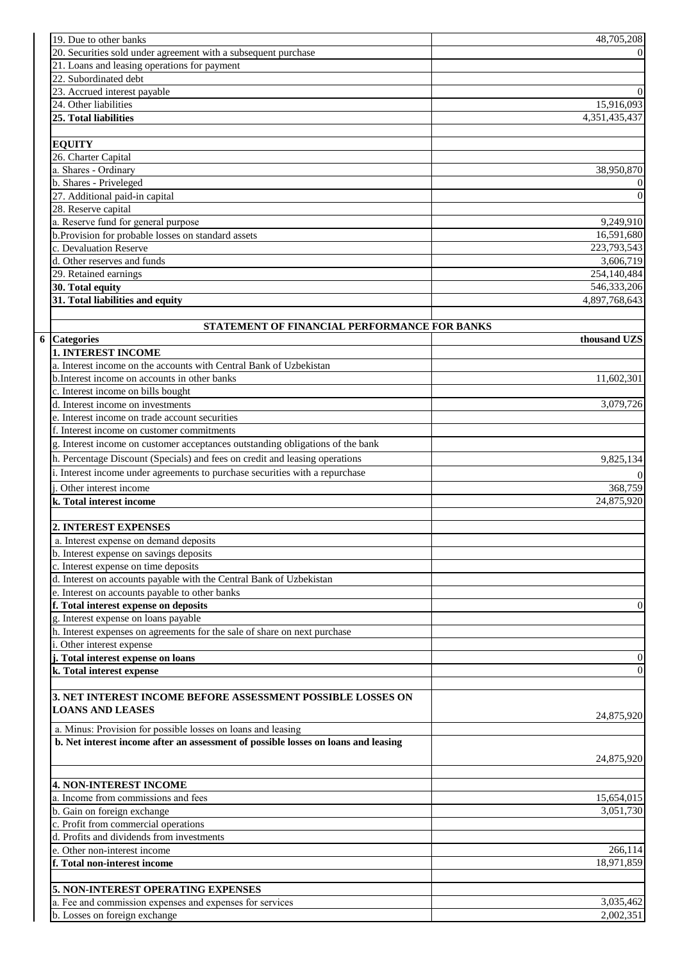| 19. Due to other banks                                                             | 48,705,208            |
|------------------------------------------------------------------------------------|-----------------------|
| 20. Securities sold under agreement with a subsequent purchase                     | $\Omega$              |
| 21. Loans and leasing operations for payment                                       |                       |
| 22. Subordinated debt                                                              |                       |
| 23. Accrued interest payable                                                       | $\boldsymbol{0}$      |
| 24. Other liabilities                                                              | 15,916,093            |
| 25. Total liabilities                                                              | 4,351,435,437         |
|                                                                                    |                       |
| <b>EQUITY</b>                                                                      |                       |
| 26. Charter Capital                                                                |                       |
| a. Shares - Ordinary                                                               | 38,950,870            |
| b. Shares - Priveleged                                                             | $\boldsymbol{0}$      |
| 27. Additional paid-in capital                                                     | $\boldsymbol{0}$      |
| 28. Reserve capital                                                                |                       |
| a. Reserve fund for general purpose                                                | 9,249,910             |
| b.Provision for probable losses on standard assets                                 | 16,591,680            |
| c. Devaluation Reserve                                                             | 223,793,543           |
| d. Other reserves and funds                                                        | 3,606,719             |
| 29. Retained earnings                                                              | 254,140,484           |
| 30. Total equity                                                                   | 546, 333, 206         |
| 31. Total liabilities and equity                                                   | 4,897,768,643         |
|                                                                                    |                       |
| STATEMENT OF FINANCIAL PERFORMANCE FOR BANKS                                       |                       |
| 6 Categories                                                                       | thousand UZS          |
| <b>1. INTEREST INCOME</b>                                                          |                       |
| a. Interest income on the accounts with Central Bank of Uzbekistan                 |                       |
| b. Interest income on accounts in other banks                                      | 11,602,301            |
| c. Interest income on bills bought                                                 |                       |
| d. Interest income on investments                                                  | 3,079,726             |
| e. Interest income on trade account securities                                     |                       |
| f. Interest income on customer commitments                                         |                       |
| g. Interest income on customer acceptances outstanding obligations of the bank     |                       |
| h. Percentage Discount (Specials) and fees on credit and leasing operations        | 9,825,134             |
| i. Interest income under agreements to purchase securities with a repurchase       | $\Omega$              |
|                                                                                    |                       |
| Other interest income                                                              | 368,759<br>24,875,920 |
| k. Total interest income                                                           |                       |
| 2. INTEREST EXPENSES                                                               |                       |
| a. Interest expense on demand deposits                                             |                       |
| b. Interest expense on savings deposits                                            |                       |
| c. Interest expense on time deposits                                               |                       |
| d. Interest on accounts payable with the Central Bank of Uzbekistan                |                       |
| e. Interest on accounts payable to other banks                                     |                       |
| f. Total interest expense on deposits                                              | $\mathbf{0}$          |
| g. Interest expense on loans payable                                               |                       |
|                                                                                    |                       |
| h. Interest expenses on agreements for the sale of share on next purchase          |                       |
| i. Other interest expense                                                          |                       |
| j. Total interest expense on loans                                                 | $\boldsymbol{0}$      |
| k. Total interest expense                                                          | $\overline{0}$        |
| 3. NET INTEREST INCOME BEFORE ASSESSMENT POSSIBLE LOSSES ON                        |                       |
| <b>LOANS AND LEASES</b>                                                            |                       |
|                                                                                    | 24,875,920            |
| a. Minus: Provision for possible losses on loans and leasing                       |                       |
| b. Net interest income after an assessment of possible losses on loans and leasing |                       |
|                                                                                    | 24,875,920            |
|                                                                                    |                       |
| <b>4. NON-INTEREST INCOME</b>                                                      |                       |
| a. Income from commissions and fees                                                | 15,654,015            |
| b. Gain on foreign exchange                                                        | 3,051,730             |
| c. Profit from commercial operations                                               |                       |
| d. Profits and dividends from investments                                          |                       |
| e. Other non-interest income                                                       | 266,114               |
| f. Total non-interest income                                                       | 18,971,859            |
|                                                                                    |                       |
| 5. NON-INTEREST OPERATING EXPENSES                                                 |                       |
| a. Fee and commission expenses and expenses for services                           | 3,035,462             |
| b. Losses on foreign exchange                                                      | 2,002,351             |
|                                                                                    |                       |